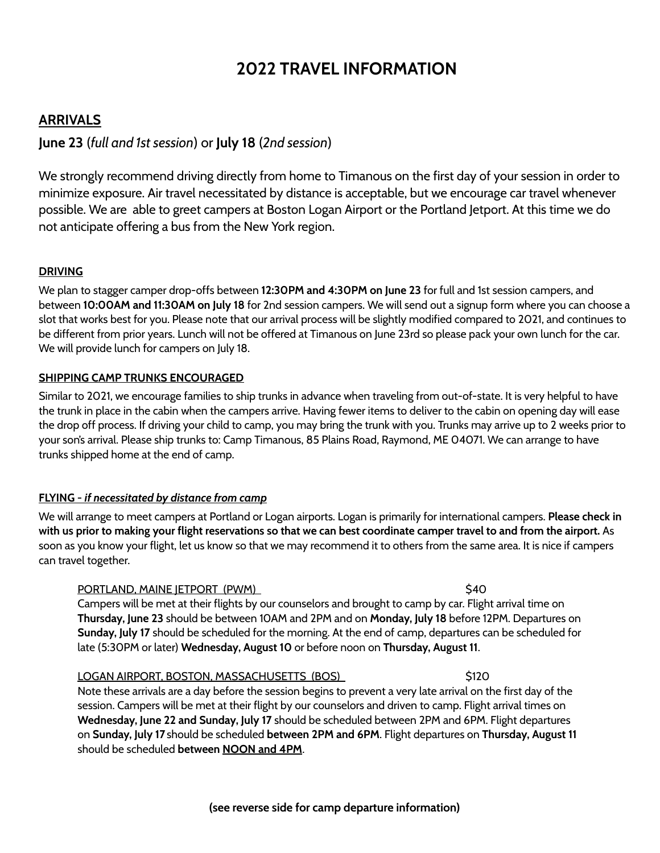# **2022 TRAVEL INFORMATION**

# **ARRIVALS**

# **June 23** (*full and 1st session*) or **July 18** (*2nd session*)

We strongly recommend driving directly from home to Timanous on the first day of your session in order to minimize exposure. Air travel necessitated by distance is acceptable, but we encourage car travel whenever possible. We are able to greet campers at Boston Logan Airport or the Portland Jetport. At this time we do not anticipate offering a bus from the New York region.

## **DRIVING**

We plan to stagger camper drop-offs between **12:30PM and 4:30PM on June 23** for full and 1st session campers, and between **10:00AM and 11:30AM on July 18** for 2nd session campers. We will send out a signup form where you can choose a slot that works best for you. Please note that our arrival process will be slightly modified compared to 2021, and continues to be different from prior years. Lunch will not be offered at Timanous on June 23rd so please pack your own lunch for the car. We will provide lunch for campers on July 18.

#### **SHIPPING CAMP TRUNKS ENCOURAGED**

Similar to 2021, we encourage families to ship trunks in advance when traveling from out-of-state. It is very helpful to have the trunk in place in the cabin when the campers arrive. Having fewer items to deliver to the cabin on opening day will ease the drop off process. If driving your child to camp, you may bring the trunk with you. Trunks may arrive up to 2 weeks prior to your son's arrival. Please ship trunks to: Camp Timanous, 85 Plains Road, Raymond, ME 04071. We can arrange to have trunks shipped home at the end of camp.

## **FLYING -** *if necessitated by distance from camp*

We will arrange to meet campers at Portland or Logan airports. Logan is primarily for international campers. **Please check in** with us prior to making your flight reservations so that we can best coordinate camper travel to and from the airport. As soon as you know your flight, let us know so that we may recommend it to others from the same area. It is nice if campers can travel together.

#### PORTLAND, MAINE JETPORT (PWM) \$40

Campers will be met at their flights by our counselors and brought to camp by car. Flight arrival time on **Thursday, June 23** should be between 10AM and 2PM and on **Monday, July 18** before 12PM. Departures on **Sunday, July 17** should be scheduled for the morning. At the end of camp, departures can be scheduled for late (5:30PM or later) **Wednesday, August 10** or before noon on **Thursday, August 11**.

#### LOGAN AIRPORT, BOSTON, MASSACHUSETTS (BOS) \$120

Note these arrivals are a day before the session begins to prevent a very late arrival on the first day of the session. Campers will be met at their flight by our counselors and driven to camp. Flight arrival times on **Wednesday, June 22 and Sunday, July 17** should be scheduled between 2PM and 6PM. Flight departures on **Sunday, July 17** should be scheduled **between 2PM and 6PM**. Flight departures on **Thursday, August 11** should be scheduled **between NOON and 4PM**.